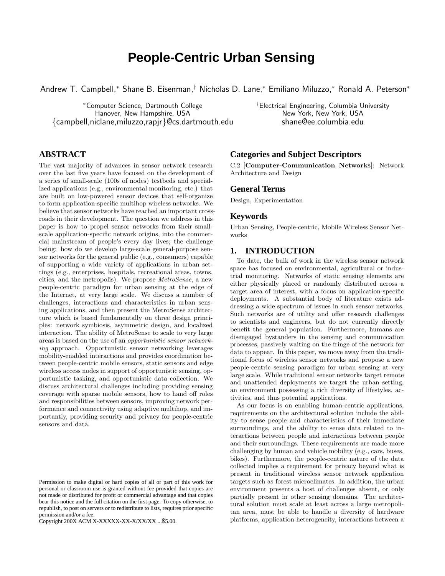# **People-Centric Urban Sensing**

Andrew T. Campbell,\* Shane B. Eisenman,<sup>†</sup> Nicholas D. Lane,\* Emiliano Miluzzo,\* Ronald A. Peterson\*

<sup>∗</sup>Computer Science, Dartmouth College †Electrical Engineering, Columbia University Hanover, New Hampshire, USA {campbell,niclane,miluzzo,rapjr}@cs.dartmouth.edu shane@ee.columbia.edu

# **ABSTRACT**

The vast majority of advances in sensor network research over the last five years have focused on the development of a series of small-scale (100s of nodes) testbeds and specialized applications (e.g., environmental monitoring, etc.) that are built on low-powered sensor devices that self-organize to form application-specific multihop wireless networks. We believe that sensor networks have reached an important crossroads in their development. The question we address in this paper is how to propel sensor networks from their smallscale application-specific network origins, into the commercial mainstream of people's every day lives; the challenge being: how do we develop large-scale general-purpose sensor networks for the general public (e.g., consumers) capable of supporting a wide variety of applications in urban settings (e.g., enterprises, hospitals, recreational areas, towns, cities, and the metropolis). We propose MetroSense, a new people-centric paradigm for urban sensing at the edge of the Internet, at very large scale. We discuss a number of challenges, interactions and characteristics in urban sensing applications, and then present the MetroSense architecture which is based fundamentally on three design principles: network symbiosis, asymmetric design, and localized interaction. The ability of MetroSense to scale to very large areas is based on the use of an opportunistic sensor networking approach. Opportunistic sensor networking leverages mobility-enabled interactions and provides coordination between people-centric mobile sensors, static sensors and edge wireless access nodes in support of opportunistic sensing, opportunistic tasking, and opportunistic data collection. We discuss architectural challenges including providing sensing coverage with sparse mobile sensors, how to hand off roles and responsibilities between sensors, improving network performance and connectivity using adaptive multihop, and importantly, providing security and privacy for people-centric sensors and data.

Copyright 200X ACM X-XXXXX-XX-X/XX/XX ...\$5.00.

### **Categories and Subject Descriptors**

C.2 [Computer-Communication Networks]: Network Architecture and Design

### **General Terms**

Design, Experimentation

#### **Keywords**

Urban Sensing, People-centric, Mobile Wireless Sensor Networks

## **1. INTRODUCTION**

To date, the bulk of work in the wireless sensor network space has focused on environmental, agricultural or industrial monitoring. Networks of static sensing elements are either physically placed or randomly distributed across a target area of interest, with a focus on application-specific deployments. A substantial body of literature exists addressing a wide spectrum of issues in such sensor networks. Such networks are of utility and offer research challenges to scientists and engineers, but do not currently directly benefit the general population. Furthermore, humans are disengaged bystanders in the sensing and communication processes, passively waiting on the fringe of the network for data to appear. In this paper, we move away from the traditional focus of wireless sensor networks and propose a new people-centric sensing paradigm for urban sensing at very large scale. While traditional sensor networks target remote and unattended deployments we target the urban setting, an environment possessing a rich diversity of lifestyles, activities, and thus potential applications.

As our focus is on enabling human-centric applications, requirements on the architectural solution include the ability to sense people and characteristics of their immediate surroundings, and the ability to sense data related to interactions between people and interactions between people and their surroundings. These requirements are made more challenging by human and vehicle mobility (e.g., cars, buses, bikes). Furthermore, the people-centric nature of the data collected implies a requirement for privacy beyond what is present in traditional wireless sensor network application targets such as forest microclimates. In addition, the urban environment presents a host of challenges absent, or only partially present in other sensing domains. The architectural solution must scale at least across a large metropolitan area, must be able to handle a diversity of hardware platforms, application heterogeneity, interactions between a

Permission to make digital or hard copies of all or part of this work for personal or classroom use is granted without fee provided that copies are not made or distributed for profit or commercial advantage and that copies bear this notice and the full citation on the first page. To copy otherwise, to republish, to post on servers or to redistribute to lists, requires prior specific permission and/or a fee.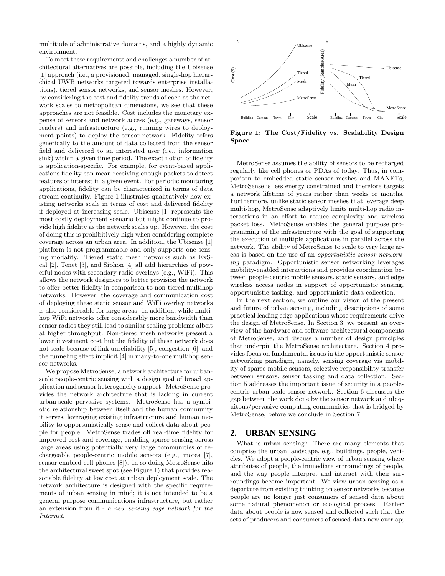multitude of administrative domains, and a highly dynamic environment.

To meet these requirements and challenges a number of architectural alternatives are possible, including the Ubisense [1] approach (i.e., a provisioned, managed, single-hop hierarchical UWB networks targeted towards enterprise installations), tiered sensor networks, and sensor meshes. However, by considering the cost and fidelity trends of each as the network scales to metropolitan dimensions, we see that these approaches are not feasible. Cost includes the monetary expense of sensors and network access (e.g., gateways, sensor readers) and infrastructure (e.g., running wires to deployment points) to deploy the sensor network. Fidelity refers generically to the amount of data collected from the sensor field and delivered to an interested user (i.e., information sink) within a given time period. The exact notion of fidelity is application-specific. For example, for event-based applications fidelity can mean receiving enough packets to detect features of interest in a given event. For periodic monitoring applications, fidelity can be characterized in terms of data stream continuity. Figure 1 illustrates qualitatively how existing networks scale in terms of cost and delivered fidelity if deployed at increasing scale. Ubisense [1] represents the most costly deployment scenario but might continue to provide high fidelity as the network scales up. However, the cost of doing this is prohibitively high when considering complete coverage across an urban area. In addition, the Ubisense [1] platform is not programmable and only supports one sensing modality. Tiered static mesh networks such as ExScal [2], Tenet [3], and Siphon [4] all add hierarchies of powerful nodes with secondary radio overlays (e.g., WiFi). This allows the network designers to better provision the network to offer better fidelity in comparison to non-tiered multihop networks. However, the coverage and communication cost of deploying these static sensor and WiFi overlay networks is also considerable for large areas. In addition, while multihop WiFi networks offer considerably more bandwidth than sensor radios they still lead to similar scaling problems albeit at higher throughput. Non-tiered mesh networks present a lower investment cost but the fidelity of these network does not scale because of link unreliability [5], congestion [6], and the funneling effect implicit [4] in many-to-one multihop sensor networks.

We propose MetroSense, a network architecture for urbanscale people-centric sensing with a design goal of broad application and sensor heterogeneity support. MetroSense provides the network architecture that is lacking in current urban-scale pervasive systems. MetroSense has a symbiotic relationship between itself and the human community it serves, leveraging existing infrastructure and human mobility to opportunistically sense and collect data about people for people. MetroSense trades off real-time fidelity for improved cost and coverage, enabling sparse sensing across large areas using potentially very large communities of rechargeable people-centric mobile sensors (e.g., motes [7], sensor-enabled cell phones [8]). In so doing MetroSense hits the architectural sweet spot (see Figure 1) that provides reasonable fidelity at low cost at urban deployment scale. The network architecture is designed with the specific requirements of urban sensing in mind; it is not intended to be a general purpose communications infrastructure, but rather an extension from it - a new sensing edge network for the Internet.



Figure 1: The Cost/Fidelity vs. Scalability Design Space

MetroSense assumes the ability of sensors to be recharged regularly like cell phones or PDAs of today. Thus, in comparison to embedded static sensor meshes and MANETs, MetroSense is less energy constrained and therefore targets a network lifetime of years rather than weeks or months. Furthermore, unlike static sensor meshes that leverage deep multi-hop, MetroSense adaptively limits multi-hop radio interactions in an effort to reduce complexity and wireless packet loss. MetroSense enables the general purpose programming of the infrastructure with the goal of supporting the execution of multiple applications in parallel across the network. The ability of MetroSense to scale to very large areas is based on the use of an opportunistic sensor networking paradigm. Opportunistic sensor networking leverages mobility-enabled interactions and provides coordination between people-centric mobile sensors, static sensors, and edge wireless access nodes in support of opportunistic sensing, opportunistic tasking, and opportunistic data collection.

In the next section, we outline our vision of the present and future of urban sensing, including descriptions of some practical leading edge applications whose requirements drive the design of MetroSense. In Section 3, we present an overview of the hardware and software architectural components of MetroSense, and discuss a number of design principles that underpin the MetroSense architecture. Section 4 provides focus on fundamental issues in the opportunistic sensor networking paradigm, namely, sensing coverage via mobility of sparse mobile sensors, selective responsibility transfer between sensors, sensor tasking and data collection. Section 5 addresses the important issue of security in a peoplecentric urban-scale sensor network. Section 6 discusses the gap between the work done by the sensor network and ubiquitous/pervasive computing communities that is bridged by MetroSense, before we conclude in Section 7.

### **2. URBAN SENSING**

What is urban sensing? There are many elements that comprise the urban landscape, e.g., buildings, people, vehicles. We adopt a people-centric view of urban sensing where attributes of people, the immediate surroundings of people, and the way people interpret and interact with their surroundings become important. We view urban sensing as a departure from existing thinking on sensor networks because people are no longer just consumers of sensed data about some natural phenomenon or ecological process. Rather data about people is now sensed and collected such that the sets of producers and consumers of sensed data now overlap;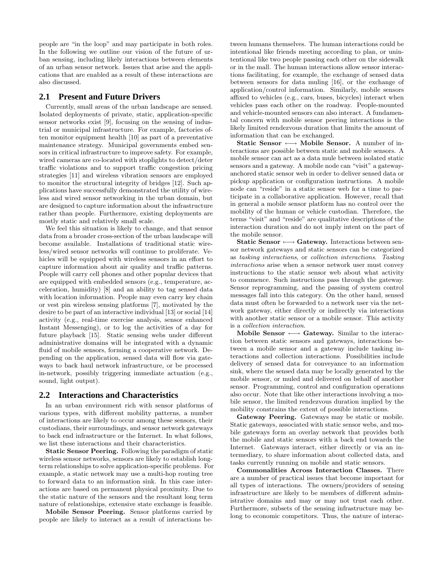people are "in the loop" and may participate in both roles. In the following we outline our vision of the future of urban sensing, including likely interactions between elements of an urban sensor network. Issues that arise and the applications that are enabled as a result of these interactions are also discussed.

### **2.1 Present and Future Drivers**

Currently, small areas of the urban landscape are sensed. Isolated deployments of private, static, application-specific sensor networks exist [9], focusing on the sensing of industrial or municipal infrastructure. For example, factories often monitor equipment health [10] as part of a preventative maintenance strategy. Municipal governments embed sensors in critical infrastructure to improve safety. For example, wired cameras are co-located with stoplights to detect/deter traffic violations and to support traffic congestion pricing strategies [11] and wireless vibration sensors are employed to monitor the structural integrity of bridges [12]. Such applications have successfully demonstrated the utility of wireless and wired sensor networking in the urban domain, but are designed to capture information about the infrastructure rather than people. Furthermore, existing deployments are mostly static and relatively small scale.

We feel this situation is likely to change, and that sensor data from a broader cross-section of the urban landscape will become available. Installations of traditional static wireless/wired sensor networks will continue to proliferate. Vehicles will be equipped with wireless sensors in an effort to capture information about air quality and traffic patterns. People will carry cell phones and other popular devices that are equipped with embedded sensors (e.g., temperature, acceleration, humidity) [8] and an ability to tag sensed data with location information. People may even carry key chain or vest pin wireless sensing platforms [7], motivated by the desire to be part of an interactive individual [13] or social [14] activity (e.g., real-time exercise analysis, sensor enhanced Instant Messenging), or to log the activities of a day for future playback [15]. Static sensing webs under different administrative domains will be integrated with a dynamic fluid of mobile sensors, forming a cooperative network. Depending on the application, sensed data will flow via gateways to back haul network infrastructure, or be processed in-network, possibly triggering immediate actuation (e.g., sound, light output).

## **2.2 Interactions and Characteristics**

In an urban environment rich with sensor platforms of various types, with different mobility patterns, a number of interactions are likely to occur among these sensors, their custodians, their surroundings, and sensor network gateways to back end infrastructure or the Internet. In what follows, we list these interactions and their characteristics.

Static Sensor Peering. Following the paradigm of static wireless sensor networks, sensors are likely to establish longterm relationships to solve application-specific problems. For example, a static network may use a multi-hop routing tree to forward data to an information sink. In this case interactions are based on permanent physical proximity. Due to the static nature of the sensors and the resultant long term nature of relationships, extensive state exchange is feasible.

Mobile Sensor Peering. Sensor platforms carried by people are likely to interact as a result of interactions between humans themselves. The human interactions could be intentional like friends meeting according to plan, or unintentional like two people passing each other on the sidewalk or in the mall. The human interactions allow sensor interactions facilitating, for example, the exchange of sensed data between sensors for data muling [16], or the exchange of application/control information. Similarly, mobile sensors affixed to vehicles (e.g., cars, buses, bicycles) interact when vehicles pass each other on the roadway. People-mounted and vehicle-mounted sensors can also interact. A fundamental concern with mobile sensor peering interactions is the likely limited rendezvous duration that limits the amount of information that can be exchanged.

Static Sensor ←→ Mobile Sensor. A number of interactions are possible between static and mobile sensors. A mobile sensor can act as a data mule between isolated static sensors and a gateway. A mobile node can "visit" a gatewayanchored static sensor web in order to deliver sensed data or pickup application or configuration instructions. A mobile node can "reside" in a static sensor web for a time to participate in a collaborative application. However, recall that in general a mobile sensor platform has no control over the mobility of the human or vehicle custodian. Therefore, the terms "visit" and "reside" are qualitative descriptions of the interaction duration and do not imply intent on the part of the mobile sensor.

Static Sensor ←→ Gateway. Interactions between sensor network gateways and static sensors can be categorized as tasking interactions, or collection interactions. Tasking interactions arise when a sensor network user must convey instructions to the static sensor web about what activity to commence. Such instructions pass through the gateway. Sensor reprogramming, and the passing of system control messages fall into this category. On the other hand, sensed data must often be forwarded to a network user via the network gateway, either directly or indirectly via interactions with another static sensor or a mobile sensor. This activity is a collection interaction.

Mobile Sensor  $\longleftrightarrow$  Gateway. Similar to the interaction between static sensors and gateways, interactions between a mobile sensor and a gateway include tasking interactions and collection interactions. Possibilities include delivery of sensed data for conveyance to an information sink, where the sensed data may be locally generated by the mobile sensor, or muled and delivered on behalf of another sensor. Programming, control and configuration operations also occur. Note that like other interactions involving a mobile sensor, the limited rendezvous duration implied by the mobility constrains the extent of possible interactions.

Gateway Peering. Gateways may be static or mobile. Static gateways, associated with static sensor webs, and mobile gateways form an overlay network that provides both the mobile and static sensors with a back end towards the Internet. Gateways interact, either directly or via an intermediary, to share information about collected data, and tasks currently running on mobile and static sensors.

Commonalities Across Interaction Classes. There are a number of practical issues that become important for all types of interactions. The owners/providers of sensing infrastructure are likely to be members of different administrative domains and may or may not trust each other. Furthermore, subsets of the sensing infrastructure may belong to economic competitors. Thus, the nature of interac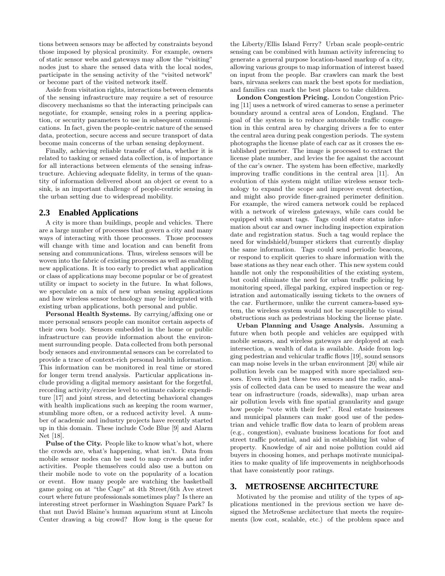tions between sensors may be affected by constraints beyond those imposed by physical proximity. For example, owners of static sensor webs and gateways may allow the "visiting" nodes just to share the sensed data with the local nodes, participate in the sensing activity of the "visited network" or become part of the visited network itself.

Aside from visitation rights, interactions between elements of the sensing infrastructure may require a set of resource discovery mechanisms so that the interacting principals can negotiate, for example, sensing roles in a peering application, or security parameters to use in subsequent communications. In fact, given the people-centric nature of the sensed data, protection, secure access and secure transport of data become main concerns of the urban sensing deployment.

Finally, achieving reliable transfer of data, whether it is related to tasking or sensed data collection, is of importance for all interactions between elements of the sensing infrastructure. Achieving adequate fidelity, in terms of the quantity of information delivered about an object or event to a sink, is an important challenge of people-centric sensing in the urban setting due to widespread mobility.

### **2.3 Enabled Applications**

A city is more than buildings, people and vehicles. There are a large number of processes that govern a city and many ways of interacting with those processes. Those processes will change with time and location and can benefit from sensing and communications. Thus, wireless sensors will be woven into the fabric of existing processes as well as enabling new applications. It is too early to predict what application or class of applications may become popular or be of greatest utility or impact to society in the future. In what follows, we speculate on a mix of new urban sensing applications and how wireless sensor technology may be integrated with existing urban applications, both personal and public.

Personal Health Systems. By carrying/affixing one or more personal sensors people can monitor certain aspects of their own body. Sensors embedded in the home or public infrastructure can provide information about the environment surrounding people. Data collected from both personal body sensors and environmental sensors can be correlated to provide a trace of context-rich personal health information. This information can be monitored in real time or stored for longer term trend analysis. Particular applications include providing a digital memory assistant for the forgetful, recording activity/exercise level to estimate caloric expenditure [17] and joint stress, and detecting behavioral changes with health implications such as keeping the room warmer, stumbling more often, or a reduced activity level. A number of academic and industry projects have recently started up in this domain. These include Code Blue [9] and Alarm Net [18].

Pulse of the City. People like to know what's hot, where the crowds are, what's happening, what isn't. Data from mobile sensor nodes can be used to map crowds and infer activities. People themselves could also use a button on their mobile node to vote on the popularity of a location or event. How many people are watching the basketball game going on at "the Cage" at 4th Street/6th Ave street court where future professionals sometimes play? Is there an interesting street performer in Washington Square Park? Is that nut David Blaine's human aquarium stunt at Lincoln Center drawing a big crowd? How long is the queue for

the Liberty/Ellis Island Ferry? Urban scale people-centric sensing can be combined with human activity inferencing to generate a general purpose location-based markup of a city, allowing various groups to map information of interest based on input from the people. Bar crawlers can mark the best bars, nirvana seekers can mark the best spots for mediation, and families can mark the best places to take children.

London Congestion Pricing. London Congestion Pricing [11] uses a network of wired cameras to sense a perimeter boundary around a central area of London, England. The goal of the system is to reduce automobile traffic congestion in this central area by charging drivers a fee to enter the central area during peak congestion periods. The system photographs the license plate of each car as it crosses the established perimeter. The image is processed to extract the license plate number, and levies the fee against the account of the car's owner. The system has been effective, markedly improving traffic conditions in the central area [11]. An evolution of this system might utilize wireless sensor technology to expand the scope and improve event detection, and might also provide finer-grained perimeter definition. For example, the wired camera network could be replaced with a network of wireless gateways, while cars could be equipped with smart tags. Tags could store status information about car and owner including inspection expiration date and registration status. Such a tag would replace the need for windshield/bumper stickers that currently display the same information. Tags could send periodic beacons, or respond to explicit queries to share information with the base stations as they near each other. This new system could handle not only the responsibilities of the existing system, but could eliminate the need for urban traffic policing by monitoring speed, illegal parking, expired inspection or registration and automatically issuing tickets to the owners of the car. Furthermore, unlike the current camera-based system, the wireless system would not be susceptible to visual obstructions such as pedestrians blocking the license plate.

Urban Planning and Usage Analysis. Assuming a future when both people and vehicles are equipped with mobile sensors, and wireless gateways are deployed at each intersection, a wealth of data is available. Aside from logging pedestrian and vehicular traffic flows [19], sound sensors can map noise levels in the urban environment [20] while air pollution levels can be mapped with more specialized sensors. Even with just these two sensors and the radio, analysis of collected data can be used to measure the wear and tear on infrastructure (roads, sidewalks), map urban area air pollution levels with fine spatial granularity and gauge how people "vote with their feet". Real estate businesses and municipal planners can make good use of the pedestrian and vehicle traffic flow data to learn of problem areas (e.g., congestion), evaluate business locations for foot and street traffic potential, and aid in establishing list value of property. Knowledge of air and noise pollution could aid buyers in choosing homes, and perhaps motivate municipalities to make quality of life improvements in neighborhoods that have consistently poor ratings.

### **3. METROSENSE ARCHITECTURE**

Motivated by the promise and utility of the types of applications mentioned in the previous section we have designed the MetroSense architecture that meets the requirements (low cost, scalable, etc.) of the problem space and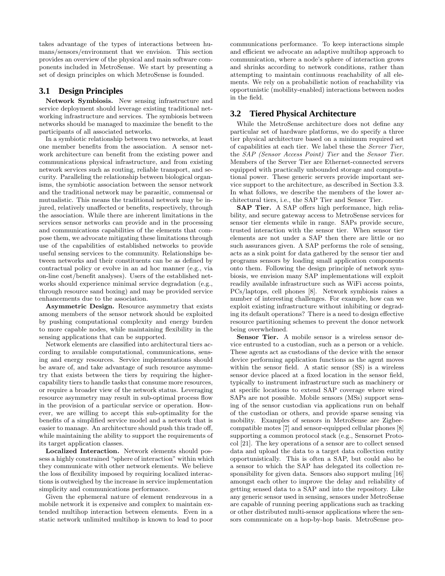takes advantage of the types of interactions between humans/sensors/environment that we envision. This section provides an overview of the physical and main software components included in MetroSense. We start by presenting a set of design principles on which MetroSense is founded.

# **3.1 Design Principles**

Network Symbiosis. New sensing infrastructure and service deployment should leverage existing traditional networking infrastructure and services. The symbiosis between networks should be managed to maximize the benefit to the participants of all associated networks.

In a symbiotic relationship between two networks, at least one member benefits from the association. A sensor network architecture can benefit from the existing power and communications physical infrastructure, and from existing network services such as routing, reliable transport, and security. Paralleling the relationship between biological organisms, the symbiotic association between the sensor network and the traditional network may be parasitic, commensal or mutualistic. This means the traditional network may be injured, relatively unaffected or benefits, respectively, through the association. While there are inherent limitations in the services sensor networks can provide and in the processing and communications capabilities of the elements that compose them, we advocate mitigating these limitations through use of the capabilities of established networks to provide useful sensing services to the community. Relationships between networks and their constituents can be as defined by contractual policy or evolve in an ad hoc manner (e.g., via on-line cost/benefit analyses). Users of the established networks should experience minimal service degradation (e.g., through resource sand boxing) and may be provided service enhancements due to the association.

Asymmetric Design. Resource asymmetry that exists among members of the sensor network should be exploited by pushing computational complexity and energy burden to more capable nodes, while maintaining flexibility in the sensing applications that can be supported.

Network elements are classified into architectural tiers according to available computational, communications, sensing and energy resources. Service implementations should be aware of, and take advantage of such resource asymmetry that exists between the tiers by requiring the highercapability tiers to handle tasks that consume more resources, or require a broader view of the network status. Leveraging resource asymmetry may result in sub-optimal process flow in the provision of a particular service or operation. However, we are willing to accept this sub-optimality for the benefits of a simplified service model and a network that is easier to manage. An architecture should push this trade off, while maintaining the ability to support the requirements of its target application classes.

Localized Interaction. Network elements should possess a highly constrained "sphere of interaction" within which they communicate with other network elements. We believe the loss of flexibility imposed by requiring localized interactions is outweighed by the increase in service implementation simplicity and communications performance.

Given the ephemeral nature of element rendezvous in a mobile network it is expensive and complex to maintain extended multihop interaction between elements. Even in a static network unlimited multihop is known to lead to poor

communications performance. To keep interactions simple and efficient we advocate an adaptive multihop approach to communication, where a node's sphere of interaction grows and shrinks according to network conditions, rather than attempting to maintain continuous reachability of all elements. We rely on a probabilistic notion of reachability via opportunistic (mobility-enabled) interactions between nodes in the field.

# **3.2 Tiered Physical Architecture**

While the MetroSense architecture does not define any particular set of hardware platforms, we do specify a three tier physical architecture based on a minimum required set of capabilities at each tier. We label these the Server Tier, the SAP (Sensor Access Point) Tier and the Sensor Tier. Members of the Server Tier are Ethernet-connected servers equipped with practically unbounded storage and computational power. These generic servers provide important service support to the architecture, as described in Section 3.3. In what follows, we describe the members of the lower architectural tiers, i.e., the SAP Tier and Sensor Tier.

SAP Tier. A SAP offers high performance, high reliability, and secure gateway access to MetroSense services for sensor tier elements while in range. SAPs provide secure, trusted interaction with the sensor tier. When sensor tier elements are not under a SAP then there are little or no such assurances given. A SAP performs the role of sensing, acts as a sink point for data gathered by the sensor tier and programs sensors by loading small application components onto them. Following the design principle of network symbiosis, we envision many SAP implementations will exploit readily available infrastructure such as WiFi access points, PCs/laptops, cell phones [8]. Network symbiosis raises a number of interesting challenges. For example, how can we exploit existing infrastructure without inhibiting or degrading its default operations? There is a need to design effective resource partitioning schemes to prevent the donor network being overwhelmed.

Sensor Tier. A mobile sensor is a wireless sensor device entrusted to a custodian, such as a person or a vehicle. These agents act as custodians of the device with the sensor device performing application functions as the agent moves within the sensor field. A static sensor (SS) is a wireless sensor device placed at a fixed location in the sensor field, typically to instrument infrastructure such as machinery or at specific locations to extend SAP coverage where wired SAPs are not possible. Mobile sensors (MSs) support sensing of the sensor custodian via applications run on behalf of the custodian or others, and provide sparse sensing via mobility. Examples of sensors in MetroSense are Zigbeecompatible motes [7] and sensor-equipped cellular phones [8] supporting a common protocol stack (e.g., Sensornet Protocol [21]. The key operations of a sensor are to collect sensed data and upload the data to a target data collection entity opportunistically. This is often a SAP, but could also be a sensor to which the SAP has delegated its collection responsibility for given data. Sensors also support muling [16] amongst each other to improve the delay and reliability of getting sensed data to a SAP and into the repository. Like any generic sensor used in sensing, sensors under MetroSense are capable of running peering applications such as tracking or other distributed multi-sensor applications where the sensors communicate on a hop-by-hop basis. MetroSense pro-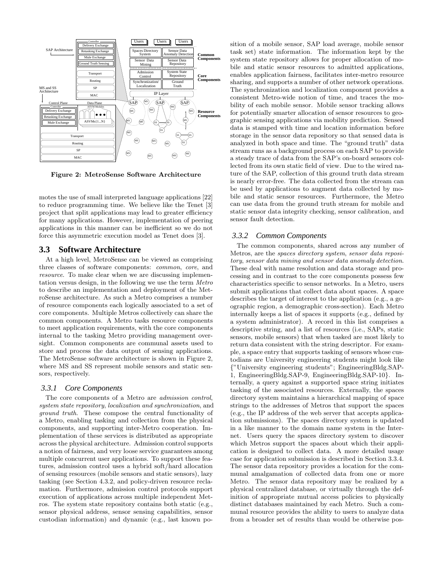

Figure 2: MetroSense Software Architecture

motes the use of small interpreted language applications [22] to reduce programming time. We believe like the Tenet [3] project that split applications may lead to greater efficiency for many applications. However, implementation of peering applications in this manner can be inefficient so we do not force this asymmetric execution model as Tenet does [3].

### **3.3 Software Architecture**

At a high level, MetroSense can be viewed as comprising three classes of software components: common, core, and resource. To make clear when we are discussing implementation versus design, in the following we use the term Metro to describe an implementation and deployment of the MetroSense architecture. As such a Metro comprises a number of resource components each logically associated to a set of core components. Multiple Metros collectively can share the common components. A Metro tasks resource components to meet application requirements, with the core components internal to the tasking Metro providing management oversight. Common components are communal assets used to store and process the data output of sensing applications. The MetroSense software architecture is shown in Figure 2, where MS and SS represent mobile sensors and static sensors, respectively.

#### *3.3.1 Core Components*

The core components of a Metro are admission control, system state repository, localization and synchronization, and ground truth. These compose the central functionality of a Metro, enabling tasking and collection from the physical components, and supporting inter-Metro cooperation. Implementation of these services is distributed as appropriate across the physical architecture. Admission control supports a notion of fairness, and very loose service guarantees among multiple concurrent user applications. To support these features, admission control uses a hybrid soft/hard allocation of sensing resources (mobile sensors and static sensors), lazy tasking (see Section 4.3.2, and policy-driven resource reclamation. Furthermore, admission control protocols support execution of applications across multiple independent Metros. The system state repository contains both static (e.g., sensor physical address, sensor sensing capabilities, sensor custodian information) and dynamic (e.g., last known position of a mobile sensor, SAP load average, mobile sensor task set) state information. The information kept by the system state repository allows for proper allocation of mobile and static sensor resources to admitted applications, enables application fairness, facilitates inter-metro resource sharing, and supports a number of other network operations. The synchronization and localization component provides a consistent Metro-wide notion of time, and traces the mobility of each mobile sensor. Mobile sensor tracking allows for potentially smarter allocation of sensor resources to geographic sensing applications via mobility prediction. Sensed data is stamped with time and location information before storage in the sensor data repository so that sensed data is analyzed in both space and time. The "ground truth" data stream runs as a background process on each SAP to provide a steady trace of data from the SAP's on-board sensors collected from its own static field of view. Due to the wired nature of the SAP, collection of this ground truth data stream is nearly error-free. The data collected from the stream can be used by applications to augment data collected by mobile and static sensor resources. Furthermore, the Metro can use data from the ground truth stream for mobile and static sensor data integrity checking, sensor calibration, and sensor fault detection.

#### *3.3.2 Common Components*

The common components, shared across any number of Metros, are the spaces directory system, sensor data repository, sensor data mining and sensor data anomaly detection. These deal with name resolution and data storage and processing and in contrast to the core components possess few characteristics specific to sensor networks. In a Metro, users submit applications that collect data about spaces. A space describes the target of interest to the application (e.g., a geographic region, a demographic cross-section). Each Metro internally keeps a list of spaces it supports (e.g., defined by a system administrator). A record in this list comprises a descriptive string, and a list of resources (i.e., SAPs, static sensors, mobile sensors) that when tasked are most likely to return data consistent with the string descriptor. For example, a space entry that supports tasking of sensors whose custodians are University engineering students might look like {"University engineering students"; EngineeringBldg.SAP-1, EngineeringBldg.SAP-9, EngineeringBldg.SAP-10}. Internally, a query against a supported space string initiates tasking of the associated resources. Externally, the spaces directory system maintains a hierarchical mapping of space strings to the addresses of Metros that support the spaces (e.g., the IP address of the web server that accepts application submissions). The spaces directory system is updated in a like manner to the domain name system in the Internet. Users query the spaces directory system to discover which Metros support the spaces about which their application is designed to collect data. A more detailed usage case for application submission is described in Section 3.3.4. The sensor data repository provides a location for the communal amalgamation of collected data from one or more Metro. The sensor data repository may be realized by a physical centralized database, or virtually through the definition of appropriate mutual access policies to physically distinct databases maintained by each Metro. Such a communal resource provides the ability to users to analyze data from a broader set of results than would be otherwise pos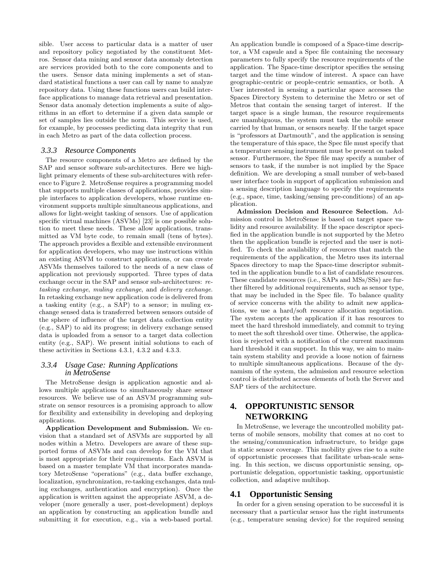sible. User access to particular data is a matter of user and repository policy negotiated by the constituent Metros. Sensor data mining and sensor data anomaly detection are services provided both to the core components and to the users. Sensor data mining implements a set of standard statistical functions a user can call by name to analyze repository data. Using these functions users can build interface applications to manage data retrieval and presentation. Sensor data anomaly detection implements a suite of algorithms in an effort to determine if a given data sample or set of samples lies outside the norm. This service is used, for example, by processes predicting data integrity that run in each Metro as part of the data collection process.

#### *3.3.3 Resource Components*

The resource components of a Metro are defined by the SAP and sensor software sub-architectures. Here we highlight primary elements of these sub-architectures with reference to Figure 2. MetroSense requires a programming model that supports multiple classes of applications, provides simple interfaces to application developers, whose runtime environment supports multiple simultaneous applications, and allows for light-weight tasking of sensors. Use of application specific virtual machines (ASVMs) [23] is one possible solution to meet these needs. These allow applications, transmitted as VM byte code, to remain small (tens of bytes). The approach provides a flexible and extensible environment for application developers, who may use instructions within an existing ASVM to construct applications, or can create ASVMs themselves tailored to the needs of a new class of application not previously supported. Three types of data exchange occur in the SAP and sensor sub-architectures: retasking exchange, muling exchange, and delivery exchange. In retasking exchange new application code is delivered from a tasking entity (e.g., a SAP) to a sensor; in muling exchange sensed data is transferred between sensors outside of the sphere of influence of the target data collection entity (e.g., SAP) to aid its progress; in delivery exchange sensed data is uploaded from a sensor to a target data collection entity (e.g., SAP). We present initial solutions to each of these activities in Sections 4.3.1, 4.3.2 and 4.3.3.

#### *3.3.4 Usage Case: Running Applications in MetroSense*

The MetroSense design is application agnostic and allows multiple applications to simultaneously share sensor resources. We believe use of an ASVM programming substrate on sensor resources is a promising approach to allow for flexibility and extensibility in developing and deploying applications.

Application Development and Submission. We envision that a standard set of ASVMs are supported by all nodes within a Metro. Developers are aware of these supported forms of ASVMs and can develop for the VM that is most appropriate for their requirements. Each ASVM is based on a master template VM that incorporates mandatory MetroSense "operations" (e.g., data buffer exchange, localization, synchronization, re-tasking exchanges, data muling exchanges, authentication and encryption). Once the application is written against the appropriate ASVM, a developer (more generally a user, post-development) deploys an application by constructing an application bundle and submitting it for execution, e.g., via a web-based portal.

An application bundle is composed of a Space-time descriptor, a VM capsule and a Spec file containing the necessary parameters to fully specify the resource requirements of the application. The Space-time descriptor specifies the sensing target and the time window of interest. A space can have geographic-centric or people-centric semantics, or both. A User interested in sensing a particular space accesses the Spaces Directory System to determine the Metro or set of Metros that contain the sensing target of interest. If the target space is a single human, the resource requirements are unambiguous, the system must task the mobile sensor carried by that human, or sensors nearby. If the target space is "professors at Dartmouth", and the application is sensing the temperature of this space, the Spec file must specify that a temperature sensing instrument must be present on tasked sensor. Furthermore, the Spec file may specify a number of sensors to task, if the number is not implied by the Space definition. We are developing a small number of web-based user interface tools in support of application submission and a sensing description language to specify the requirements (e.g., space, time, tasking/sensing pre-conditions) of an application.

Admission Decision and Resource Selection. Admission control in MetroSense is based on target space validity and resource availability. If the space descriptor specified in the application bundle is not supported by the Metro then the application bundle is rejected and the user is notified. To check the availability of resources that match the requirements of the application, the Metro uses its internal Spaces directory to map the Space-time descriptor submitted in the application bundle to a list of candidate resources. These candidate resources (i.e., SAPs and MSs/SSs) are further filtered by additional requirements, such as sensor type, that may be included in the Spec file. To balance quality of service concerns with the ability to admit new applications, we use a hard/soft resource allocation negotiation. The system accepts the application if it has resources to meet the hard threshold immediately, and commit to trying to meet the soft threshold over time. Otherwise, the application is rejected with a notification of the current maximum hard threshold it can support. In this way, we aim to maintain system stability and provide a loose notion of fairness to multiple simultaneous applications. Because of the dynamism of the system, the admission and resource selection control is distributed across elements of both the Server and SAP tiers of the architecture.

# **4. OPPORTUNISTIC SENSOR NETWORKING**

In MetroSense, we leverage the uncontrolled mobility patterns of mobile sensors, mobility that comes at no cost to the sensing/communication infrastructure, to bridge gaps in static sensor coverage. This mobility gives rise to a suite of opportunistic processes that facilitate urban-scale sensing. In this section, we discuss opportunistic sensing, opportunistic delegation, opportunistic tasking, opportunistic collection, and adaptive multihop.

### **4.1 Opportunistic Sensing**

In order for a given sensing operation to be successful it is necessary that a particular sensor has the right instruments (e.g., temperature sensing device) for the required sensing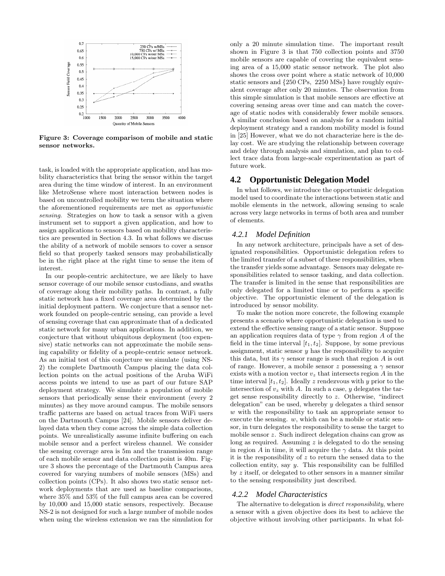

Figure 3: Coverage comparison of mobile and static sensor networks.

task, is loaded with the appropriate application, and has mobility characteristics that bring the sensor within the target area during the time window of interest. In an environment like MetroSense where most interaction between nodes is based on uncontrolled mobility we term the situation where the aforementioned requirements are met as opportunistic sensing. Strategies on how to task a sensor with a given instrument set to support a given application, and how to assign applications to sensors based on mobility characteristics are presented in Section 4.3. In what follows we discuss the ability of a network of mobile sensors to cover a sensor field so that properly tasked sensors may probabilistically be in the right place at the right time to sense the item of interest.

In our people-centric architecture, we are likely to have sensor coverage of our mobile sensor custodians, and swaths of coverage along their mobility paths. In contrast, a fully static network has a fixed coverage area determined by the initial deployment pattern. We conjecture that a sensor network founded on people-centric sensing, can provide a level of sensing coverage that can approximate that of a dedicated static network for many urban applications. In addition, we conjecture that without ubiquitous deployment (too expensive) static networks can not approximate the mobile sensing capability or fidelity of a people-centric sensor network. As an initial test of this conjecture we simulate (using NS-2) the complete Dartmouth Campus placing the data collection points on the actual positions of the Aruba WiFi access points we intend to use as part of our future SAP deployment strategy. We simulate a population of mobile sensors that periodically sense their environment (every 2 minutes) as they move around campus. The mobile sensors traffic patterns are based on actual traces from WiFi users on the Dartmouth Campus [24]. Mobile sensors deliver delayed data when they come across the simple data collection points. We unrealistically assume infinite buffering on each mobile sensor and a perfect wireless channel. We consider the sensing coverage area is 5m and the transmission range of each mobile sensor and data collection point is 40m. Figure 3 shows the percentage of the Dartmouth Campus area covered for varying numbers of mobile sensors (MSs) and collection points (CPs). It also shows two static sensor network deployments that are used as baseline comparisons, where 35% and 53% of the full campus area can be covered by 10,000 and 15,000 static sensors, respectively. Because NS-2 is not designed for such a large number of mobile nodes when using the wireless extension we ran the simulation for

only a 20 minute simulation time. The important result shown in Figure 3 is that 750 collection points and 3750 mobile sensors are capable of covering the equivalent sensing area of a 15,000 static sensor network. The plot also shows the cross over point where a static network of 10,000 static sensors and {250 CPs, 2250 MSs} have roughly equivalent coverage after only 20 minutes. The observation from this simple simulation is that mobile sensors are effective at covering sensing areas over time and can match the coverage of static nodes with considerably fewer mobile sensors. A similar conclusion based on analysis for a random initial deployment strategy and a random mobility model is found in [25] However, what we do not characterize here is the delay cost. We are studying the relationship between coverage and delay through analysis and simulation, and plan to collect trace data from large-scale experimentation as part of future work.

# **4.2 Opportunistic Delegation Model**

In what follows, we introduce the opportunistic delegation model used to coordinate the interactions between static and mobile elements in the network, allowing sensing to scale across very large networks in terms of both area and number of elements.

#### *4.2.1 Model Definition*

In any network architecture, principals have a set of designated responsibilities. Opportunistic delegation refers to the limited transfer of a subset of these responsibilities, when the transfer yields some advantage. Sensors may delegate responsibilities related to sensor tasking, and data collection. The transfer is limited in the sense that responsibilities are only delegated for a limited time or to perform a specific objective. The opportunistic element of the delegation is introduced by sensor mobility.

To make the notion more concrete, the following example presents a scenario where opportunistic delegation is used to extend the effective sensing range of a static sensor. Suppose an application requires data of type  $\gamma$  from region A of the field in the time interval  $[t_1, t_2]$ . Suppose, by some previous assignment, static sensor  $y$  has the responsibility to acquire this data, but its  $\gamma$  sensor range is such that region A is out of range. However, a mobile sensor z possessing a  $\gamma$  sensor exists with a motion vector  $v<sub>z</sub>$  that intersects region A in the time interval  $[t_1, t_2]$ . Ideally z rendezvous with y prior to the intersection of  $v_z$  with A. In such a case, y delegates the target sense responsibility directly to z. Otherwise, "indirect delegation" can be used, whereby y delegates a third sensor w with the responsibility to task an appropriate sensor to execute the sensing. w, which can be a mobile or static sensor, in turn delegates the responsibility to sense the target to mobile sensor z. Such indirect delegation chains can grow as long as required. Assuming  $z$  is delegated to do the sensing in region A in time, it will acquire the  $\gamma$  data. At this point it is the responsibility of  $z$  to return the sensed data to the collection entity, say  $y$ . This responsibility can be fulfilled by z itself, or delegated to other sensors in a manner similar to the sensing responsibility just described.

#### *4.2.2 Model Characteristics*

The alternative to delegation is *direct responsibility*, where a sensor with a given objective does its best to achieve the objective without involving other participants. In what fol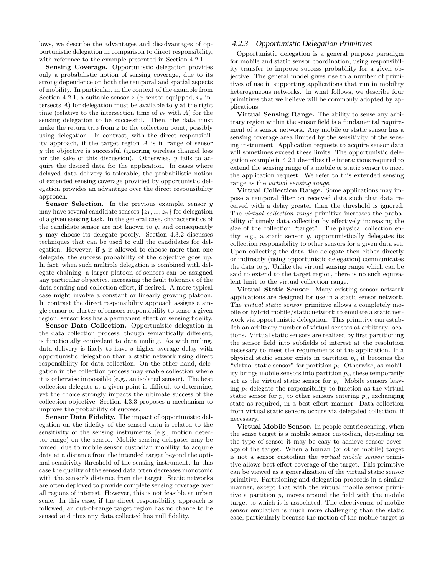lows, we describe the advantages and disadvantages of opportunistic delegation in comparison to direct responsibility, with reference to the example presented in Section 4.2.1.

Sensing Coverage. Opportunistic delegation provides only a probabilistic notion of sensing coverage, due to its strong dependence on both the temporal and spatial aspects of mobility. In particular, in the context of the example from Section 4.2.1, a suitable sensor  $z$  ( $\gamma$  sensor equipped,  $v_z$  intersects  $A$ ) for delegation must be available to y at the right time (relative to the intersection time of  $v<sub>z</sub>$  with A) for the sensing delegation to be successful. Then, the data must make the return trip from  $z$  to the collection point, possibly using delegation. In contrast, with the direct responsibility approach, if the target region A is in range of sensor y the objective is successful (ignoring wireless channel loss for the sake of this discussion). Otherwise,  $y$  fails to acquire the desired data for the application. In cases where delayed data delivery is tolerable, the probabilistic notion of extended sensing coverage provided by opportunistic delegation provides an advantage over the direct responsibility approach.

**Sensor Selection.** In the previous example, sensor  $y$ may have several candidate sensors  $\{z_1, ..., z_n\}$  for delegation of a given sensing task. In the general case, characteristics of the candidate sensor are not known to  $y$ , and consequently y may choose its delegate poorly. Section 4.3.2 discusses techniques that can be used to cull the candidates for delegation. However, if  $y$  is allowed to choose more than one delegate, the success probability of the objective goes up. In fact, when such multiple delegation is combined with delegate chaining, a larger platoon of sensors can be assigned any particular objective, increasing the fault tolerance of the data sensing and collection effort, if desired. A more typical case might involve a constant or linearly growing platoon. In contrast the direct responsibility approach assigns a single sensor or cluster of sensors responsibility to sense a given region; sensor loss has a permanent effect on sensing fidelity.

Sensor Data Collection. Opportunistic delegation in the data collection process, though semantically different, is functionally equivalent to data muling. As with muling, data delivery is likely to have a higher average delay with opportunistic delegation than a static network using direct responsibility for data collection. On the other hand, delegation in the collection process may enable collection where it is otherwise impossible (e.g., an isolated sensor). The best collection delegate at a given point is difficult to determine, yet the choice strongly impacts the ultimate success of the collection objective. Section 4.3.3 proposes a mechanism to improve the probability of success.

Sensor Data Fidelity. The impact of opportunistic delegation on the fidelity of the sensed data is related to the sensitivity of the sensing instruments (e.g., motion detector range) on the sensor. Mobile sensing delegates may be forced, due to mobile sensor custodian mobility, to acquire data at a distance from the intended target beyond the optimal sensitivity threshold of the sensing instrument. In this case the quality of the sensed data often decreases monotonic with the sensor's distance from the target. Static networks are often deployed to provide complete sensing coverage over all regions of interest. However, this is not feasible at urban scale. In this case, if the direct responsibility approach is followed, an out-of-range target region has no chance to be sensed and thus any data collected has null fidelity.

#### *4.2.3 Opportunistic Delegation Primitives*

Opportunistic delegation is a general purpose paradigm for mobile and static sensor coordination, using responsibility transfer to improve success probability for a given objective. The general model gives rise to a number of primitives of use in supporting applications that run in mobility heterogeneous networks. In what follows, we describe four primitives that we believe will be commonly adopted by applications.

Virtual Sensing Range. The ability to sense any arbitrary region within the sensor field is a fundamental requirement of a sensor network. Any mobile or static sensor has a sensing coverage area limited by the sensitivity of the sensing instrument. Application requests to acquire sensor data will sometimes exceed these limits. The opportunistic delegation example in 4.2.1 describes the interactions required to extend the sensing range of a mobile or static sensor to meet the application request. We refer to this extended sensing range as the virtual sensing range.

Virtual Collection Range. Some applications may impose a temporal filter on received data such that data received with a delay greater than the threshold is ignored. The virtual collection range primitive increases the probability of timely data collection by effectively increasing the size of the collection "target". The physical collection entity, e.g., a static sensor y, opportunistically delegates its collection responsibility to other sensors for a given data set. Upon collecting the data, the delegate then either directly or indirectly (using opportunistic delegation) communicates the data to y. Unlike the virtual sensing range which can be said to extend to the target region, there is no such equivalent limit to the virtual collection range.

Virtual Static Sensor. Many existing sensor network applications are designed for use in a static sensor network. The virtual static sensor primitive allows a completely mobile or hybrid mobile/static network to emulate a static network via opportunistic delegation. This primitive can establish an arbitrary number of virtual sensors at arbitrary locations. Virtual static sensors are realized by first partitioning the sensor field into subfields of interest at the resolution necessary to meet the requirements of the application. If a physical static sensor exists in partition  $p_i$ , it becomes the "virtual static sensor" for partition  $p_i$ . Otherwise, as mobility brings mobile sensors into partition  $p_i$ , these temporarily act as the virtual static sensor for  $p_i$ . Mobile sensors leaving  $p_i$  delegate the responsibility to function as the virtual static sensor for  $p_i$  to other sensors entering  $p_i$ , exchanging state as required, in a best effort manner. Data collection from virtual static sensors occurs via delegated collection, if necessary.

Virtual Mobile Sensor. In people-centric sensing, when the sense target is a mobile sensor custodian, depending on the type of sensor it may be easy to achieve sensor coverage of the target. When a human (or other mobile) target is not a sensor custodian the virtual mobile sensor primitive allows best effort coverage of the target. This primitive can be viewed as a generalization of the virtual static sensor primitive. Partitioning and delegation proceeds in a similar manner, except that with the virtual mobile sensor primitive a partition  $p_i$  moves around the field with the mobile target to which it is associated. The effectiveness of mobile sensor emulation is much more challenging than the static case, particularly because the motion of the mobile target is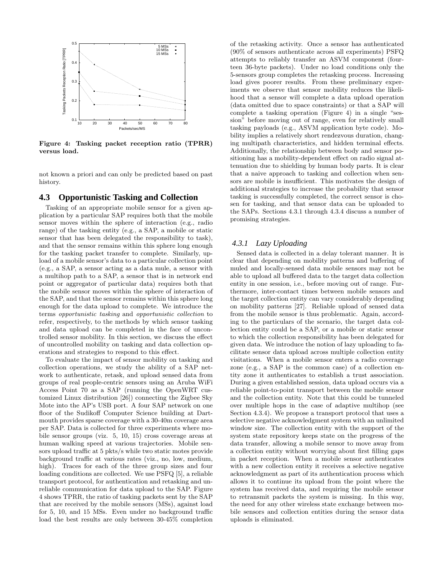

Figure 4: Tasking packet reception ratio (TPRR) versus load.

not known a priori and can only be predicted based on past history.

### **4.3 Opportunistic Tasking and Collection**

Tasking of an appropriate mobile sensor for a given application by a particular SAP requires both that the mobile sensor moves within the sphere of interaction (e.g., radio range) of the tasking entity (e.g., a SAP, a mobile or static sensor that has been delegated the responsibility to task), and that the sensor remains within this sphere long enough for the tasking packet transfer to complete. Similarly, upload of a mobile sensor's data to a particular collection point (e.g., a SAP, a sensor acting as a data mule, a sensor with a multihop path to a SAP, a sensor that is in network end point or aggregator of particular data) requires both that the mobile sensor moves within the sphere of interaction of the SAP, and that the sensor remains within this sphere long enough for the data upload to complete. We introduce the terms opportunistic tasking and opportunistic collection to refer, respectively, to the methods by which sensor tasking and data upload can be completed in the face of uncontrolled sensor mobility. In this section, we discuss the effect of uncontrolled mobility on tasking and data collection operations and strategies to respond to this effect.

To evaluate the impact of sensor mobility on tasking and collection operations, we study the ability of a SAP network to authenticate, retask, and upload sensed data from groups of real people-centric sensors using an Aruba WiFi Access Point 70 as a SAP (running the OpenWRT customized Linux distribution [26]) connecting the Zigbee Sky Mote into the AP's USB port. A four SAP network on one floor of the Sudikoff Computer Science building at Dartmouth provides sparse coverage with a 30-40m coverage area per SAP. Data is collected for three experiments where mobile sensor groups (viz. 5, 10, 15) cross coverage areas at human walking speed at various trajectories. Mobile sensors upload traffic at 5 pkts/s while two static motes provide background traffic at various rates (viz., no, low, medium, high). Traces for each of the three group sizes and four loading conditions are collected. We use PSFQ [5], a reliable transport protocol, for authentication and retasking and unreliable communication for data upload to the SAP. Figure 4 shows TPRR, the ratio of tasking packets sent by the SAP that are received by the mobile sensors (MSs), against load for 5, 10, and 15 MSs. Even under no background traffic load the best results are only between 30-45% completion of the retasking activity. Once a sensor has authenticated (90% of sensors authenticate across all experiments) PSFQ attempts to reliably transfer an ASVM component (fourteen 36-byte packets). Under no load conditions only the 5-sensors group completes the retasking process. Increasing load gives poorer results. From these preliminary experiments we observe that sensor mobility reduces the likelihood that a sensor will complete a data upload operation (data omitted due to space constraints) or that a SAP will complete a tasking operation (Figure 4) in a single "session" before moving out of range, even for relatively small tasking payloads (e.g., ASVM application byte code). Mobility implies a relatively short rendezvous duration, changing multipath characteristics, and hidden terminal effects. Additionally, the relationship between body and sensor positioning has a mobility-dependent effect on radio signal attenuation due to shielding by human body parts. It is clear that a naive approach to tasking and collection when sensors are mobile is insufficient. This motivates the design of additional strategies to increase the probability that sensor tasking is successfully completed, the correct sensor is chosen for tasking, and that sensor data can be uploaded to the SAPs. Sections 4.3.1 through 4.3.4 discuss a number of promising strategies.

### *4.3.1 Lazy Uploading*

Sensed data is collected in a delay tolerant manner. It is clear that depending on mobility patterns and buffering of muled and locally-sensed data mobile sensors may not be able to upload all buffered data to the target data collection entity in one session, i.e., before moving out of range. Furthermore, inter-contact times between mobile sensors and the target collection entity can vary considerably depending on mobility patterns [27]. Reliable upload of sensed data from the mobile sensor is thus problematic. Again, according to the particulars of the scenario, the target data collection entity could be a SAP, or a mobile or static sensor to which the collection responsibility has been delegated for given data. We introduce the notion of lazy uploading to facilitate sensor data upload across multiple collection entity visitations. When a mobile sensor enters a radio coverage zone (e.g., a SAP is the common case) of a collection entity zone it authenticates to establish a trust association. During a given established session, data upload occurs via a reliable point-to-point transport between the mobile sensor and the collection entity. Note that this could be tunneled over multiple hops in the case of adaptive multihop (see Section 4.3.4). We propose a transport protocol that uses a selective negative acknowledgment system with an unlimited window size. The collection entity with the support of the system state repository keeps state on the progress of the data transfer, allowing a mobile sensor to move away from a collection entity without worrying about first filling gaps in packet reception. When a mobile sensor authenticates with a new collection entity it receives a selective negative acknowledgment as part of its authentication process which allows it to continue its upload from the point where the system has received data, and requiring the mobile sensor to retransmit packets the system is missing. In this way, the need for any other wireless state exchange between mobile sensors and collection entities during the sensor data uploads is eliminated.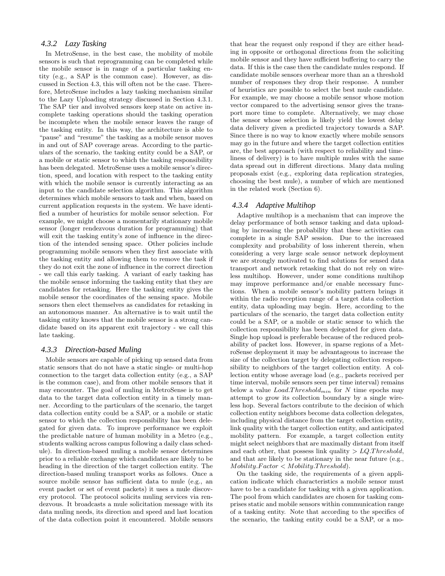### *4.3.2 Lazy Tasking*

In MetroSense, in the best case, the mobility of mobile sensors is such that reprogramming can be completed while the mobile sensor is in range of a particular tasking entity (e.g., a SAP is the common case). However, as discussed in Section 4.3, this will often not be the case. Therefore, MetroSense includes a lazy tasking mechanism similar to the Lazy Uploading strategy discussed in Section 4.3.1. The SAP tier and involved sensors keep state on active incomplete tasking operations should the tasking operation be incomplete when the mobile sensor leaves the range of the tasking entity. In this way, the architecture is able to "pause" and "resume" the tasking as a mobile sensor moves in and out of SAP coverage areas. According to the particulars of the scenario, the tasking entity could be a SAP, or a mobile or static sensor to which the tasking responsibility has been delegated. MetroSense uses a mobile sensor's direction, speed, and location with respect to the tasking entity with which the mobile sensor is currently interacting as an input to the candidate selection algorithm. This algorithm determines which mobile sensors to task and when, based on current application requests in the system. We have identified a number of heuristics for mobile sensor selection. For example, we might choose a momentarily stationary mobile sensor (longer rendezvous duration for programming) that will exit the tasking entity's zone of influence in the direction of the intended sensing space. Other policies include programming mobile sensors when they first associate with the tasking entity and allowing them to remove the task if they do not exit the zone of influence in the correct direction - we call this early tasking. A variant of early tasking has the mobile sensor informing the tasking entity that they are candidates for retasking. Here the tasking entity gives the mobile sensor the coordinates of the sensing space. Mobile sensors then elect themselves as candidates for retasking in an autonomous manner. An alternative is to wait until the tasking entity knows that the mobile sensor is a strong candidate based on its apparent exit trajectory - we call this late tasking.

#### *4.3.3 Direction-based Muling*

Mobile sensors are capable of picking up sensed data from static sensors that do not have a static single- or multi-hop connection to the target data collection entity (e.g., a SAP is the common case), and from other mobile sensors that it may encounter. The goal of muling in MetroSense is to get data to the target data collection entity in a timely manner. According to the particulars of the scenario, the target data collection entity could be a SAP, or a mobile or static sensor to which the collection responsibility has been delegated for given data. To improve performance we exploit the predictable nature of human mobility in a Metro (e.g., students walking across campus following a daily class schedule). In direction-based muling a mobile sensor determines prior to a reliable exchange which candidates are likely to be heading in the direction of the target collection entity. The direction-based muling transport works as follows. Once a source mobile sensor has sufficient data to mule (e.g., an event packet or set of event packets) it uses a mule discovery protocol. The protocol solicits muling services via rendezvous. It broadcasts a mule solicitation message with its data muling needs, its direction and speed and last location of the data collection point it encountered. Mobile sensors

that hear the request only respond if they are either heading in opposite or orthogonal directions from the soliciting mobile sensor and they have sufficient buffering to carry the data. If this is the case then the candidate mules respond. If candidate mobile sensors overhear more than an a threshold number of responses they drop their response. A number of heuristics are possible to select the best mule candidate. For example, we may choose a mobile sensor whose motion vector compared to the advertising sensor gives the transport more time to complete. Alternatively, we may chose the sensor whose selection is likely yield the lowest delay data delivery given a predicted trajectory towards a SAP. Since there is no way to know exactly where mobile sensors may go in the future and where the target collection entities are, the best approach (with respect to reliability and timeliness of delivery) is to have multiple mules with the same data spread out in different directions. Many data muling proposals exist (e.g., exploring data replication strategies, choosing the best mule), a number of which are mentioned in the related work (Section 6).

#### *4.3.4 Adaptive Multihop*

Adaptive multihop is a mechanism that can improve the delay performance of both sensor tasking and data uploading by increasing the probability that these activities can complete in a single SAP session. Due to the increased complexity and probability of loss inherent therein, when considering a very large scale sensor network deployment we are strongly motivated to find solutions for sensed data transport and network retasking that do not rely on wireless multihop. However, under some conditions multihop may improve performance and/or enable necessary functions. When a mobile sensor's mobility pattern brings it within the radio reception range of a target data collection entity, data uploading may begin. Here, according to the particulars of the scenario, the target data collection entity could be a SAP, or a mobile or static sensor to which the collection responsibility has been delegated for given data. Single hop upload is preferable because of the reduced probability of packet loss. However, in sparse regions of a MetroSense deployment it may be advantageous to increase the size of the collection target by delegating collection responsibility to neighbors of the target collection entity. A collection entity whose average load (e.g., packets received per time interval, mobile sensors seen per time interval) remains below a value  $Load. Threshold_{min}$  for N time epochs may attempt to grow its collection boundary by a single wireless hop. Several factors contribute to the decision of which collection entity neighbors become data collection delegates, including physical distance from the target collection entity, link quality with the target collection entity, and anticipated mobility pattern. For example, a target collection entity might select neighbors that are maximally distant from itself and each other, that possess link quality  $> LQ. Threshold$ , and that are likely to be stationary in the near future (e.g., Mobility.F actor < Mobility.T hreshold).

On the tasking side, the requirements of a given application indicate which characteristics a mobile sensor must have to be a candidate for tasking with a given application. The pool from which candidates are chosen for tasking comprises static and mobile sensors within communication range of a tasking entity. Note that according to the specifics of the scenario, the tasking entity could be a SAP, or a mo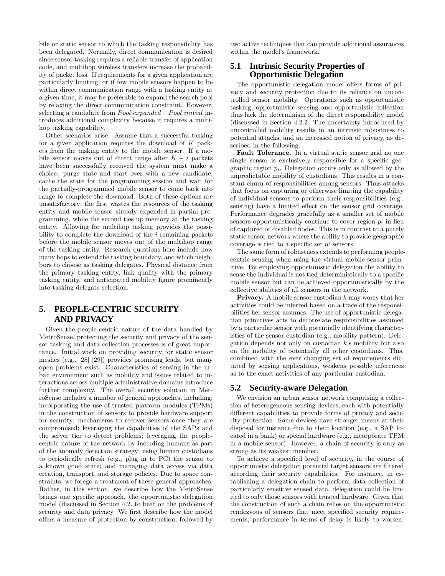bile or static sensor to which the tasking responsibility has been delegated. Normally, direct communication is desired since sensor tasking requires a reliable transfer of application code, and multihop wireless transfers increase the probability of packet loss. If requirements for a given application are particularly limiting, or if few mobile sensors happen to be within direct communication range with a tasking entity at a given time, it may be preferable to expand the search pool by relaxing the direct communication constraint. However, selecting a candidate from  $Pool. expanded - Pool. initial$  introduces additional complexity because it requires a multihop tasking capability.

Other scenarios arise. Assume that a successful tasking for a given application requires the download of  $K$  packets from the tasking entity to the mobile sensor. If a mobile sensor moves out of direct range after  $K - i$  packets have been successfully received the system must make a choice: purge state and start over with a new candidate; cache the state for the programming session and wait for the partially-programmed mobile sensor to come back into range to complete the download. Both of these options are unsatisfactory; the first wastes the resources of the tasking entity and mobile sensor already expended in partial programming, while the second ties up memory at the tasking entity. Allowing for multihop tasking provides the possibility to complete the download of the *i* remaining packets before the mobile sensor moves out of the multihop range of the tasking entity. Research questions here include how many hops to extend the tasking boundary, and which neighbors to choose as tasking delegates. Physical distance from the primary tasking entity, link quality with the primary tasking entity, and anticipated mobility figure prominently into tasking delegate selection.

# **5. PEOPLE-CENTRIC SECURITY AND PRIVACY**

Given the people-centric nature of the data handled by MetroSense, protecting the security and privacy of the sensor tasking and data collection processes is of great importance. Initial work on providing security for static sensor meshes (e.g., [28] [29]) provides promising leads, but many open problems exist. Characteristics of sensing in the urban environment such as mobility and issues related to interactions across multiple administrative domains introduce further complexity. The overall security solution in MetroSense includes a number of general approaches, including: incorporating the use of trusted platform modules (TPMs) in the construction of sensors to provide hardware support for security; mechanisms to recover sensors once they are compromised; leveraging the capabilities of the SAPs and the server tier to detect problems; leveraging the peoplecentric nature of the network by including humans as part of the anomaly detection strategy; using human custodians to periodically refresh (e.g., plug in to PC) the sensor to a known good state; and managing data access via data creation, transport, and storage policies. Due to space constraints, we forego a treatment of these general approaches. Rather, in this section, we describe how the MetroSense brings one specific approach, the opportunistic delegation model (discussed in Section 4.2, to bear on the problems of security and data privacy. We first describe how the model offers a measure of protection by construction, followed by

two active techniques that can provide additional assurances within the model's framework.

# **5.1 Intrinsic Security Properties of Opportunistic Delegation**

The opportunistic delegation model offers forms of privacy and security protection due to its reliance on uncontrolled sensor mobility. Operations such as opportunistic tasking, opportunistic sensing and opportunistic collection thus lack the determinism of the direct responsibility model (discussed in Section 4.2.2. The uncertainty introduced by uncontrolled mobility results in an intrinsic robustness to potential attacks, and an increased notion of privacy, as described in the following.

Fault Tolerance. In a virtual static sensor grid no one single sensor is exclusively responsible for a specific geographic region  $p_i$ . Delegation occurs only as allowed by the unpredictable mobility of custodians. This results in a constant churn of responsibilities among sensors. Thus attacks that focus on capturing or otherwise limiting the capability of individual sensors to perform their responsibilities (e.g., sensing) have a limited effect on the sensor grid coverage. Performance degrades gracefully as a smaller set of mobile sensors opportunistically continue to cover region  $p_i$  in lieu of captured or disabled nodes. This is in contrast to a purely static sensor network where the ability to provide geographic coverage is tied to a specific set of sensors.

The same form of robustness extends to performing peoplecentric sensing when using the virtual mobile sensor primitive. By employing opportunistic delegation the ability to sense the individual is not tied deterministically to a specific mobile sensor but can be achieved opportunistically by the collective abilities of all sensors in the network.

**Privacy.** A mobile sensor custodian  $k$  may worry that her activities could be inferred based on a trace of the responsibilities her sensor assumes. The use of opportunistic delegation primitives acts to decorrelate responsibilities assumed by a particular sensor with potentially identifying characteristics of the sensor custodian (e.g., mobility pattern). Delegation depends not only on custodian k's mobility but also on the mobility of potentially all other custodians. This, combined with the ever changing set of requirements dictated by sensing applications, weakens possible inferences as to the exact activities of any particular custodian.

# **5.2 Security-aware Delegation**

We envision an urban sensor network comprising a collection of heterogeneous sensing devices, each with potentially different capabilities to provide forms of privacy and security protection. Some devices have stronger means at their disposal for instance due to their location (e.g., a SAP located in a bank) or special hardware (e.g., incorporate TPM in a mobile sensor). However, a chain of security is only as strong as its weakest member.

To achieve a specified level of security, in the course of opportunistic delegation potential target sensors are filtered according their security capabilities. For instance, in establishing a delegation chain to perform data collection of particularly sensitive sensed data, delegation could be limited to only those sensors with trusted hardware. Given that the construction of such a chain relies on the opportunistic rendezvous of sensors that meet specified security requirements, performance in terms of delay is likely to worsen.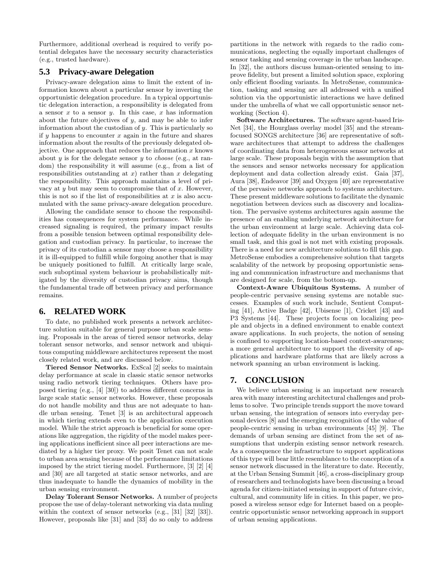Furthermore, additional overhead is required to verify potential delegates have the necessary security characteristics (e.g., trusted hardware).

### **5.3 Privacy-aware Delegation**

Privacy-aware delegation aims to limit the extent of information known about a particular sensor by inverting the opportunistic delegation procedure. In a typical opportunistic delegation interaction, a responsibility is delegated from a sensor  $x$  to a sensor  $y$ . In this case,  $x$  has information about the future objectives of  $y$ , and may be able to infer information about the custodian of  $y$ . This is particularly so if  $y$  happens to encounter  $x$  again in the future and shares information about the results of the previously delegated objective. One approach that reduces the information  $x$  knows about  $y$  is for the delegate sensor  $y$  to *choose* (e.g., at random) the responsibility it will assume (e.g., from a list of responsibilities outstanding at  $x$ ) rather than  $x$  delegating the responsibility. This approach maintains a level of privacy at  $y$  but may seem to compromise that of  $x$ . However, this is not so if the list of responsibilities at  $x$  is also accumulated with the same privacy-aware delegation procedure.

Allowing the candidate sensor to choose the responsibilities has consequences for system performance. While increased signaling is required, the primary impact results from a possible tension between optimal responsibility delegation and custodian privacy. In particular, to increase the privacy of its custodian a sensor may choose a responsibility it is ill-equipped to fulfill while forgoing another that is may be uniquely positioned to fulfill. At critically large scale, such suboptimal system behaviour is probabilistically mitigated by the diversity of custodian privacy aims, though the fundamental trade off between privacy and performance remains.

# **6. RELATED WORK**

To date, no published work presents a network architecture solution suitable for general purpose urban scale sensing. Proposals in the areas of tiered sensor networks, delay tolerant sensor networks, and sensor network and ubiquitous computing middleware architectures represent the most closely related work, and are discussed below.

Tiered Sensor Networks. ExScal [2] seeks to maintain delay performance at scale in classic static sensor networks using radio network tiering techniques. Others have proposed tiering (e.g., [4] [30]) to address different concerns in large scale static sensor networks. However, these proposals do not handle mobility and thus are not adequate to handle urban sensing. Tenet [3] is an architectural approach in which tiering extends even to the application execution model. While the strict approach is beneficial for some operations like aggregation, the rigidity of the model makes peering applications inefficient since all peer interactions are mediated by a higher tier proxy. We posit Tenet can not scale to urban area sensing because of the performance limitations imposed by the strict tiering model. Furthermore, [3] [2] [4] and [30] are all targeted at static sensor networks, and are thus inadequate to handle the dynamics of mobility in the urban sensing environment.

Delay Tolerant Sensor Networks. A number of projects propose the use of delay-tolerant networking via data muling within the context of sensor networks (e.g., [31] [32] [33]). However, proposals like [31] and [33] do so only to address

partitions in the network with regards to the radio communications, neglecting the equally important challenges of sensor tasking and sensing coverage in the urban landscape. In [32], the authors discuss human-oriented sensing to improve fidelity, but present a limited solution space, exploring only efficient flooding variants. In MetroSense, communication, tasking and sensing are all addressed with a unified solution via the opportunistic interactions we have defined under the umbrella of what we call opportunistic sensor networking (Section 4).

Software Architectures. The software agent-based Iris-Net [34], the Hourglass overlay model [35] and the streamfocused SONGS architecture [36] are representative of software architectures that attempt to address the challenges of coordinating data from heterogeneous sensor networks at large scale. These proposals begin with the assumption that the sensors and sensor networks necessary for application deployment and data collection already exist. Gaia [37], Aura [38], Endeavor [39] and Oxygen [40] are representative of the pervasive networks approach to systems architecture. These present middleware solutions to facilitate the dynamic negotiation between devices such as discovery and localization. The pervasive systems architectures again assume the presence of an enabling underlying network architecture for the urban environment at large scale. Achieving data collection of adequate fidelity in the urban environment is no small task, and this goal is not met with existing proposals. There is a need for new architecture solutions to fill this gap. MetroSense embodies a comprehensive solution that targets scalability of the network by proposing opportunistic sensing and communication infrastructure and mechanisms that are designed for scale, from the bottom-up.

Context-Aware Ubiquitous Systems. A number of people-centric pervasive sensing systems are notable successes. Examples of such work include, Sentient Computing [41], Active Badge [42], Ubisense [1], Cricket [43] and P3 Systems [44]. These projects focus on localizing people and objects in a defined environment to enable context aware applications. In such projects, the notion of sensing is confined to supporting location-based context-awareness; a more general architecture to support the diversity of applications and hardware platforms that are likely across a network spanning an urban environment is lacking.

# **7. CONCLUSION**

We believe urban sensing is an important new research area with many interesting architectural challenges and problems to solve. Two principle trends support the move toward urban sensing, the integration of sensors into everyday personal devices [8] and the emerging recognition of the value of people-centric sensing in urban environments [45] [9]. The demands of urban sensing are distinct from the set of assumptions that underpin existing sensor network research. As a consequence the infrastructure to support applications of this type will bear little resemblance to the conception of a sensor network discussed in the literature to date. Recently, at the Urban Sensing Summit [46], a cross-disciplinary group of researchers and technologists have been discussing a broad agenda for citizen-initiated sensing in support of future civic, cultural, and community life in cities. In this paper, we proposed a wireless sensor edge for Internet based on a peoplecentric opportunistic sensor networking approach in support of urban sensing applications.